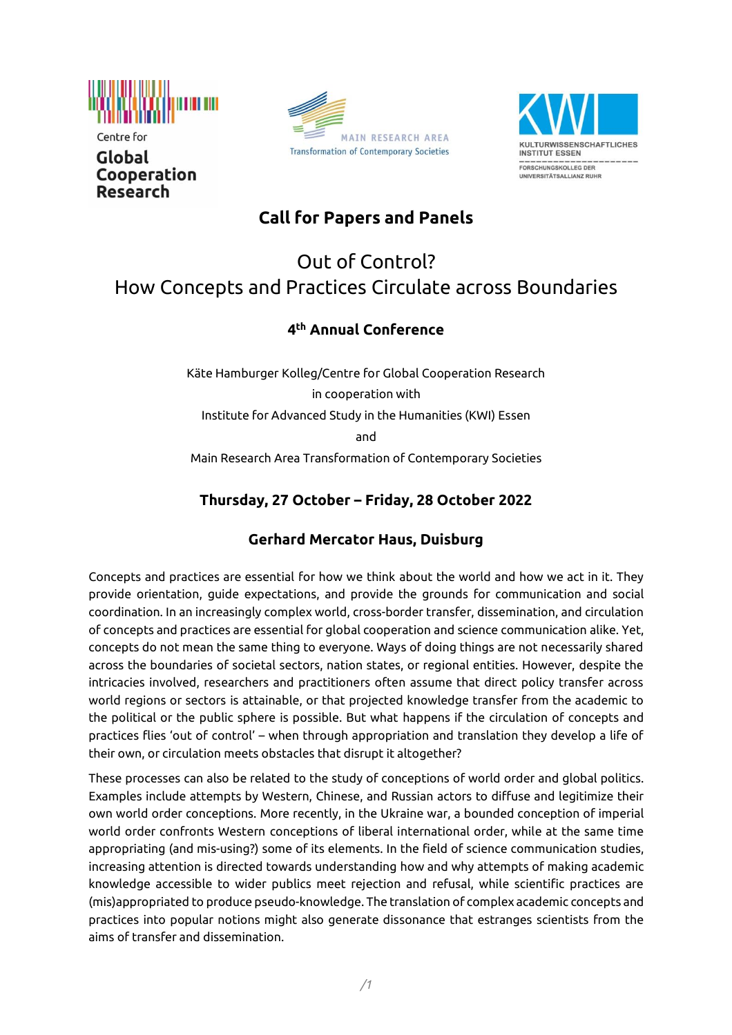

Centre for Global Cooperation **Research** 





## **Call for Papers and Panels**

# Out of Control? How Concepts and Practices Circulate across Boundaries

#### **4 th Annual Conference**

Käte Hamburger Kolleg/Centre for Global Cooperation Research in cooperation with Institute for Advanced Study in the Humanities (KWI) Essen and Main Research Area Transformation of Contemporary Societies

### **Thursday, 27 October – Friday, 28 October 2022**

#### **Gerhard Mercator Haus, Duisburg**

Concepts and practices are essential for how we think about the world and how we act in it. They provide orientation, guide expectations, and provide the grounds for communication and social coordination. In an increasingly complex world, cross-border transfer, dissemination, and circulation of concepts and practices are essential for global cooperation and science communication alike. Yet, concepts do not mean the same thing to everyone. Ways of doing things are not necessarily shared across the boundaries of societal sectors, nation states, or regional entities. However, despite the intricacies involved, researchers and practitioners often assume that direct policy transfer across world regions or sectors is attainable, or that projected knowledge transfer from the academic to the political or the public sphere is possible. But what happens if the circulation of concepts and practices flies 'out of control' – when through appropriation and translation they develop a life of their own, or circulation meets obstacles that disrupt it altogether?

These processes can also be related to the study of conceptions of world order and global politics. Examples include attempts by Western, Chinese, and Russian actors to diffuse and legitimize their own world order conceptions. More recently, in the Ukraine war, a bounded conception of imperial world order confronts Western conceptions of liberal international order, while at the same time appropriating (and mis-using?) some of its elements. In the field of science communication studies, increasing attention is directed towards understanding how and why attempts of making academic knowledge accessible to wider publics meet rejection and refusal, while scientific practices are (mis)appropriated to produce pseudo-knowledge. The translation of complex academic concepts and practices into popular notions might also generate dissonance that estranges scientists from the aims of transfer and dissemination.